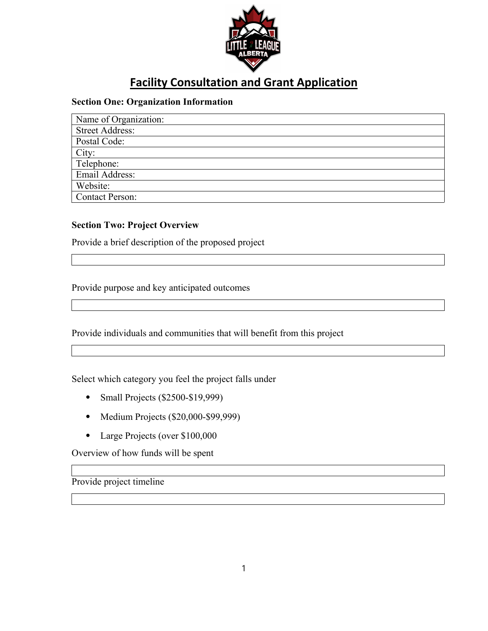

## **Facility Consultation and Grant Application**

## **Section One: Organization Information**

| Name of Organization:  |
|------------------------|
| <b>Street Address:</b> |
| Postal Code:           |
| City:                  |
| Telephone:             |
| Email Address:         |
| Website:               |
| <b>Contact Person:</b> |

## **Section Two: Project Overview**

Provide a brief description of the proposed project

Provide purpose and key anticipated outcomes

Provide individuals and communities that will benefit from this project

Select which category you feel the project falls under

- Small Projects (\$2500-\$19,999)
- Medium Projects (\$20,000-\$99,999)
- ⦁ Large Projects (over \$100,000

Overview of how funds will be spent

Provide project timeline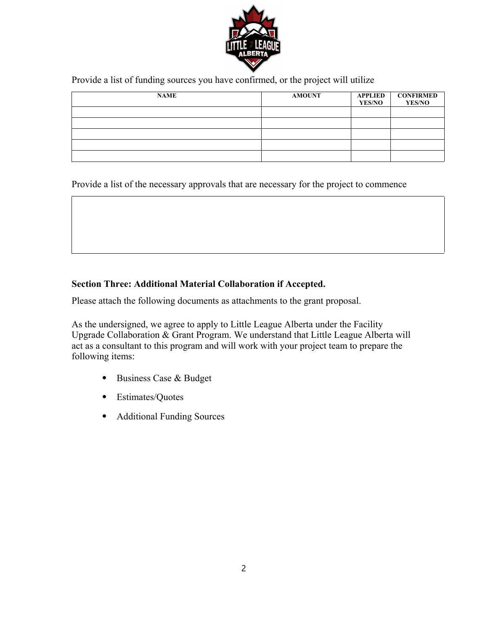

Provide a list of funding sources you have confirmed, or the project will utilize

| <b>NAME</b> | <b>AMOUNT</b> | APPLIED<br><b>YES/NO</b> | <b>CONFIRMED</b><br><b>YES/NO</b> |
|-------------|---------------|--------------------------|-----------------------------------|
|             |               |                          |                                   |
|             |               |                          |                                   |
|             |               |                          |                                   |
|             |               |                          |                                   |
|             |               |                          |                                   |

Provide a list of the necessary approvals that are necessary for the project to commence

## **Section Three: Additional Material Collaboration if Accepted.**

Please attach the following documents as attachments to the grant proposal.

As the undersigned, we agree to apply to Little League Alberta under the Facility Upgrade Collaboration & Grant Program. We understand that Little League Alberta will act as a consultant to this program and will work with your project team to prepare the following items:

- ⦁ Business Case & Budget
- ⦁ Estimates/Quotes
- ⦁ Additional Funding Sources